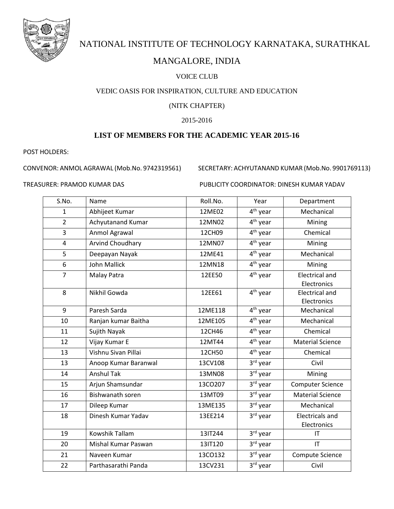

# NATIONAL INSTITUTE OF TECHNOLOGY KARNATAKA, SURATHKAL

## MANGALORE, INDIA

#### VOICE CLUB

#### VEDIC OASIS FOR INSPIRATION, CULTURE AND EDUCATION

#### (NITK CHAPTER)

#### 2015-2016

### **LIST OF MEMBERS FOR THE ACADEMIC YEAR 2015-16**

POST HOLDERS:

CONVENOR: ANMOL AGRAWAL (Mob.No. 9742319561) SECRETARY: ACHYUTANAND KUMAR (Mob.No. 9901769113)

TREASURER: PRAMOD KUMAR DAS PUBLICITY COORDINATOR: DINESH KUMAR YADAV

| S.No.          | Name                     | Roll.No. | Year                              | Department                            |
|----------------|--------------------------|----------|-----------------------------------|---------------------------------------|
| $\mathbf{1}$   | Abhijeet Kumar           | 12ME02   | $4th$ year                        | Mechanical                            |
| $\overline{2}$ | <b>Achyutanand Kumar</b> | 12MN02   | 4 <sup>th</sup> year              | Mining                                |
| 3              | Anmol Agrawal            | 12CH09   | 4 <sup>th</sup> year              | Chemical                              |
| $\overline{4}$ | Arvind Choudhary         | 12MN07   | 4 <sup>th</sup> year              | Mining                                |
| 5              | Deepayan Nayak           | 12ME41   | 4 <sup>th</sup> year              | Mechanical                            |
| 6              | <b>John Mallick</b>      | 12MN18   | 4 <sup>th</sup> year              | Mining                                |
| $\overline{7}$ | Malay Patra              | 12EE50   | 4 <sup>th</sup> year              | <b>Electrical and</b><br>Electronics  |
| 8              | Nikhil Gowda             | 12EE61   | 4 <sup>th</sup> year              | <b>Electrical and</b><br>Electronics  |
| 9              | Paresh Sarda             | 12ME118  | 4 <sup>th</sup> year              | Mechanical                            |
| 10             | Ranjan kumar Baitha      | 12ME105  | 4 <sup>th</sup> year              | Mechanical                            |
| 11             | Sujith Nayak             | 12CH46   | 4 <sup>th</sup> year              | Chemical                              |
| 12             | Vijay Kumar E            | 12MT44   | $4th$ year                        | <b>Material Science</b>               |
| 13             | Vishnu Sivan Pillai      | 12CH50   | 4 <sup>th</sup> year              | Chemical                              |
| 13             | Anoop Kumar Baranwal     | 13CV108  | $3rd$ year                        | Civil                                 |
| 14             | <b>Anshul Tak</b>        | 13MN08   | 3rd year                          | Mining                                |
| 15             | Arjun Shamsundar         | 13CO207  | $3rd$ year                        | <b>Computer Science</b>               |
| 16             | Bishwanath soren         | 13MT09   | 3rd year                          | <b>Material Science</b>               |
| 17             | Dileep Kumar             | 13ME135  | $\overline{3}$ <sup>rd</sup> year | Mechanical                            |
| 18             | Dinesh Kumar Yadav       | 13EE214  | 3rd year                          | <b>Electricals and</b><br>Electronics |
| 19             | Kowshik Tallam           | 13IT244  | 3rd year                          | IT                                    |
| 20             | Mishal Kumar Paswan      | 13IT120  | 3rd year                          | IT                                    |
| 21             | Naveen Kumar             | 13CO132  | 3rd year                          | Compute Science                       |
| 22             | Parthasarathi Panda      | 13CV231  | 3rd year                          | Civil                                 |